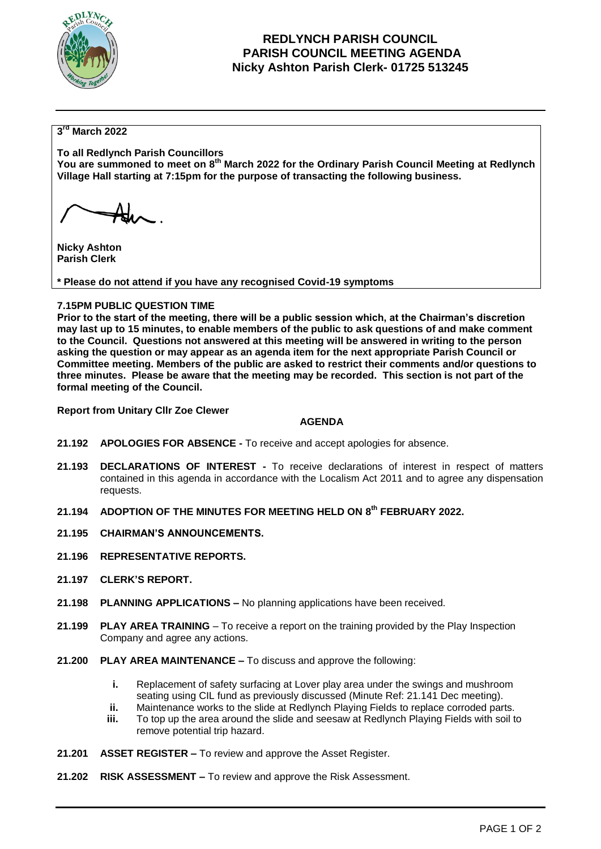

## **REDLYNCH PARISH COUNCIL PARISH COUNCIL MEETING AGENDA Nicky Ashton Parish Clerk- 01725 513245**

### **3 rd March 2022**

**To all Redlynch Parish Councillors You are summoned to meet on 8 th March 2022 for the Ordinary Parish Council Meeting at Redlynch Village Hall starting at 7:15pm for the purpose of transacting the following business.**

**Nicky Ashton Parish Clerk** 

**\* Please do not attend if you have any recognised Covid-19 symptoms**

### **7.15PM PUBLIC QUESTION TIME**

**Prior to the start of the meeting, there will be a public session which, at the Chairman's discretion may last up to 15 minutes, to enable members of the public to ask questions of and make comment to the Council. Questions not answered at this meeting will be answered in writing to the person asking the question or may appear as an agenda item for the next appropriate Parish Council or Committee meeting. Members of the public are asked to restrict their comments and/or questions to three minutes. Please be aware that the meeting may be recorded. This section is not part of the formal meeting of the Council.** 

**Report from Unitary Cllr Zoe Clewer**

#### **AGENDA**

- **21.192 APOLOGIES FOR ABSENCE -** To receive and accept apologies for absence.
- **21.193 DECLARATIONS OF INTEREST -** To receive declarations of interest in respect of matters contained in this agenda in accordance with the Localism Act 2011 and to agree any dispensation requests.
- **21.194 ADOPTION OF THE MINUTES FOR MEETING HELD ON 8 th FEBRUARY 2022.**
- **21.195 CHAIRMAN'S ANNOUNCEMENTS.**
- **21.196 REPRESENTATIVE REPORTS.**
- **21.197 CLERK'S REPORT.**
- **21.198 PLANNING APPLICATIONS –** No planning applications have been received.
- **21.199 PLAY AREA TRAINING**  To receive a report on the training provided by the Play Inspection Company and agree any actions.
- **21.200 PLAY AREA MAINTENANCE –** To discuss and approve the following:
	- **i.** Replacement of safety surfacing at Lover play area under the swings and mushroom seating using CIL fund as previously discussed (Minute Ref: 21.141 Dec meeting).
	- **ii.** Maintenance works to the slide at Redlynch Playing Fields to replace corroded parts.
	- **iii.** To top up the area around the slide and seesaw at Redlynch Playing Fields with soil to remove potential trip hazard.
- **21.201 ASSET REGISTER –** To review and approve the Asset Register.
- **21.202 RISK ASSESSMENT –** To review and approve the Risk Assessment.